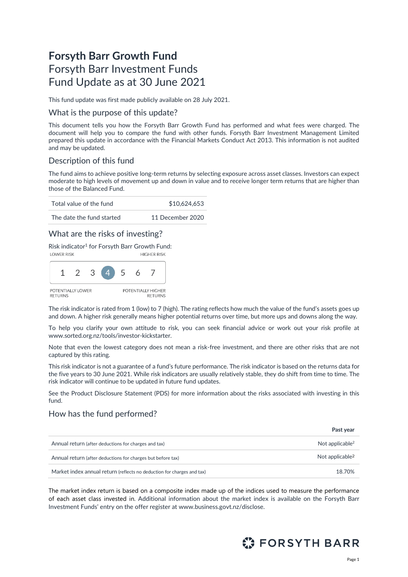# **Forsyth Barr Growth Fund** Forsyth Barr Investment Funds Fund Update as at 30 June 2021

This fund update was first made publicly available on 28 July 2021.

### What is the purpose of this update?

This document tells you how the Forsyth Barr Growth Fund has performed and what fees were charged. The document will help you to compare the fund with other funds. Forsyth Barr Investment Management Limited prepared this update in accordance with the Financial Markets Conduct Act 2013. This information is not audited and may be updated.

# Description of this fund

The fund aims to achieve positive long-term returns by selecting exposure across asset classes. Investors can expect moderate to high levels of movement up and down in value and to receive longer term returns that are higher than those of the Balanced Fund.

| Total value of the fund   | \$10,624,653     |  |  |
|---------------------------|------------------|--|--|
| The date the fund started | 11 December 2020 |  |  |

# What are the risks of investing?

Risk indicator<sup>1</sup> for Forsyth Barr Growth Fund:



The risk indicator is rated from 1 (low) to 7 (high). The rating reflects how much the value of the fund's assets goes up and down. A higher risk generally means higher potential returns over time, but more ups and downs along the way.

To help you clarify your own attitude to risk, you can seek financial advice or work out your risk profile at [www.sorted.org.nz/tools/investor-kickstarter.](http://www.sorted.org.nz/tools/investor-kickstarter) 

Note that even the lowest category does not mean a risk-free investment, and there are other risks that are not captured by this rating.

This risk indicator is not a guarantee of a fund's future performance. The risk indicator is based on the returns data for the five years to 30 June 2021. While risk indicators are usually relatively stable, they do shift from time to time. The risk indicator will continue to be updated in future fund updates.

See the Product Disclosure Statement (PDS) for more information about the risks associated with investing in this fund.

### How has the fund performed?

|                                                                        | Past vear                   |
|------------------------------------------------------------------------|-----------------------------|
| Annual return (after deductions for charges and tax)                   | Not applicable <sup>2</sup> |
| Annual return (after deductions for charges but before tax)            | Not applicable <sup>2</sup> |
| Market index annual return (reflects no deduction for charges and tax) | 18.70%                      |

The market index return is based on a composite index made up of the indices used to measure the performance of each asset class invested in. Additional information about the market index is available on the Forsyth Barr Investment Funds' entry on the offer register at [www.business.govt.nz/disclose.](http://www.business.govt.nz/disclose)

<span id="page-0-0"></span>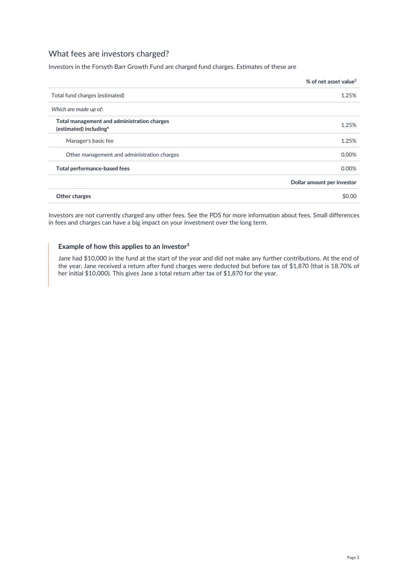# What fees are investors charged?

Investors in the Forsyth Barr Growth Fund are charged fund charges. Estimates of these are

|                                                                                   | % of net asset value <sup>3</sup> |
|-----------------------------------------------------------------------------------|-----------------------------------|
| Total fund charges (estimated)                                                    | 1.25%                             |
| Which are made up of:                                                             |                                   |
| Total management and administration charges<br>(estimated) including <sup>4</sup> | 1.25%                             |
| Manager's basic fee                                                               | 1.25%                             |
| Other management and administration charges                                       | 0.00%                             |
| Total performance-based fees                                                      | 0.00%                             |
|                                                                                   | Dollar amount per investor        |
| Other charges                                                                     | \$0.00                            |

Investors are not currently charged any other fees. See the PDS for more information about fees. Small differences in fees and charges can have a big impact on your investment over the long term.

#### **Example of how this applies to an investor<sup>5</sup>**

Jane had \$10,000 in the fund at the start of the year and did not make any further contributions. At the end of the year, Jane received a return after fund charges were deducted but before tax of \$1,870 (that is 18.70% of her initial \$10,000). This gives Jane a total return after tax of \$1,870 for the year.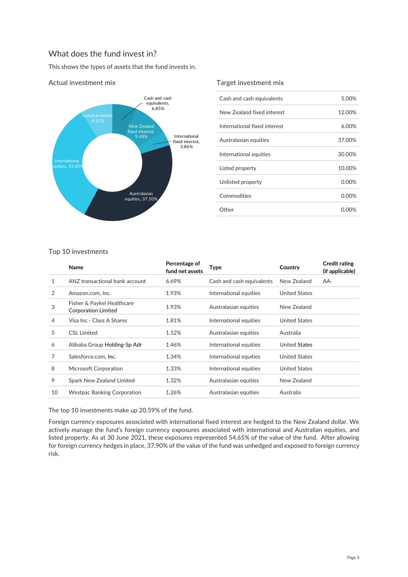# What does the fund invest in?

This shows the types of assets that the fund invests in.



### Actual investment mix

### Target investment mix

| Cash and cash equivalents    | 5.00%    |
|------------------------------|----------|
| New Zealand fixed interest   | 12.00%   |
| International fixed interest | 6.00%    |
| Australasian equities        | 37.00%   |
| International equities       | 30.00%   |
| Listed property              | 10.00%   |
| Unlisted property            | $0.00\%$ |
| Commodities                  | $0.00\%$ |
| Other                        | $0.00\%$ |
|                              |          |

### Top 10 investments

|                | <b>Name</b>                                              | Percentage of<br>fund net assets | <b>Type</b>               | Country              | <b>Credit rating</b><br>(if applicable) |
|----------------|----------------------------------------------------------|----------------------------------|---------------------------|----------------------|-----------------------------------------|
| 1              | ANZ transactional bank account                           | 6.69%                            | Cash and cash equivalents | New Zealand          | AA-                                     |
| 2              | Amazon.com. Inc.                                         | 1.93%                            | International equities    | <b>United States</b> |                                         |
| 3              | Fisher & Paykel Healthcare<br><b>Corporation Limited</b> | 1.93%                            | Australasian equities     | New Zealand          |                                         |
| $\overline{4}$ | Visa Inc. - Class A Shares                               | 1.81%                            | International equities    | <b>United States</b> |                                         |
| 5              | <b>CSL Limited</b>                                       | 1.52%                            | Australasian equities     | Australia            |                                         |
| 6              | Alibaba Group Holding-Sp Adr                             | 1.46%                            | International equities    | <b>United States</b> |                                         |
| 7              | Salesforce.com, Inc.                                     | 1.34%                            | International equities    | <b>United States</b> |                                         |
| 8              | <b>Microsoft Corporation</b>                             | 1.33%                            | International equities    | <b>United States</b> |                                         |
| 9              | Spark New Zealand Limited                                | 1.32%                            | Australasian equities     | New Zealand          |                                         |
| 10             | <b>Westpac Banking Corporation</b>                       | 1.26%                            | Australasian equities     | Australia            |                                         |

The top 10 investments make up 20.59% of the fund.

Foreign currency exposures associated with international fixed interest are hedged to the New Zealand dollar. We actively manage the fund's foreign currency exposures associated with international and Australian equities, and listed property. As at 30 June 2021, these exposures represented 54.65% of the value of the fund. After allowing for foreign currency hedges in place, 37.90% of the value of the fund was unhedged and exposed to foreign currency risk.